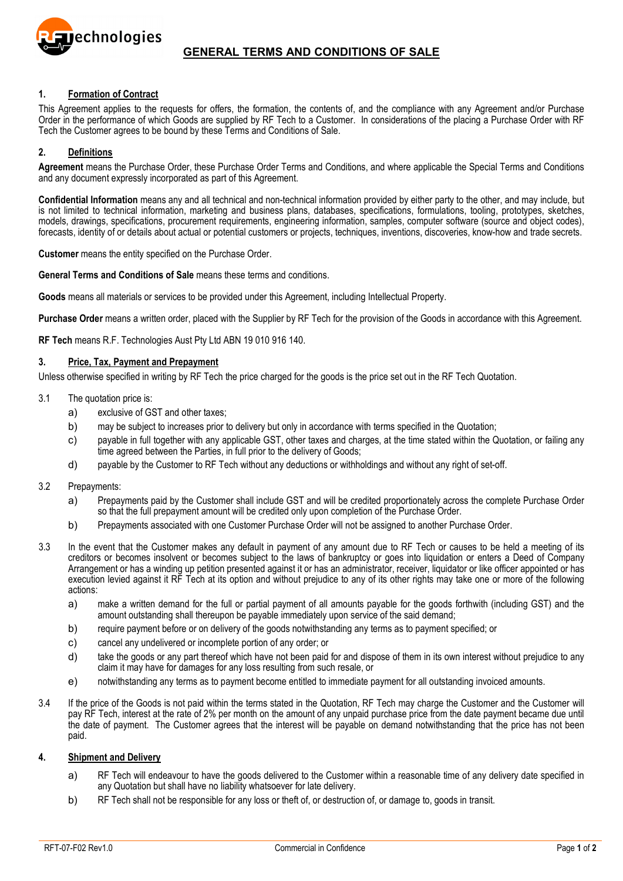

# **GENERAL TERMS AND CONDITIONS OF SALE**

### **1. Formation of Contract**

This Agreement applies to the requests for offers, the formation, the contents of, and the compliance with any Agreement and/or Purchase Order in the performance of which Goods are supplied by RF Tech to a Customer. In considerations of the placing a Purchase Order with RF Tech the Customer agrees to be bound by these Terms and Conditions of Sale.

### **2. Definitions**

**Agreement** means the Purchase Order, these Purchase Order Terms and Conditions, and where applicable the Special Terms and Conditions and any document expressly incorporated as part of this Agreement.

**Confidential Information** means any and all technical and non-technical information provided by either party to the other, and may include, but is not limited to technical information, marketing and business plans, databases, specifications, formulations, tooling, prototypes, sketches, models, drawings, specifications, procurement requirements, engineering information, samples, computer software (source and object codes), forecasts, identity of or details about actual or potential customers or projects, techniques, inventions, discoveries, know-how and trade secrets.

**Customer** means the entity specified on the Purchase Order.

**General Terms and Conditions of Sale** means these terms and conditions.

**Goods** means all materials or services to be provided under this Agreement, including Intellectual Property.

**Purchase Order** means a written order, placed with the Supplier by RF Tech for the provision of the Goods in accordance with this Agreement.

**RF Tech** means R.F. Technologies Aust Pty Ltd ABN 19 010 916 140.

### **3. Price, Tax, Payment and Prepayment**

Unless otherwise specified in writing by RF Tech the price charged for the goods is the price set out in the RF Tech Quotation.

- 3.1 The quotation price is:
	- a) exclusive of GST and other taxes;
	- b) may be subject to increases prior to delivery but only in accordance with terms specified in the Quotation;
	- c) payable in full together with any applicable GST, other taxes and charges, at the time stated within the Quotation, or failing any time agreed between the Parties, in full prior to the delivery of Goods;
	- d) payable by the Customer to RF Tech without any deductions or withholdings and without any right of set-off.
- 3.2 Prepayments:
	- a) Prepayments paid by the Customer shall include GST and will be credited proportionately across the complete Purchase Order so that the full prepayment amount will be credited only upon completion of the Purchase Order.
	- b) Prepayments associated with one Customer Purchase Order will not be assigned to another Purchase Order.
- 3.3 In the event that the Customer makes any default in payment of any amount due to RF Tech or causes to be held a meeting of its creditors or becomes insolvent or becomes subject to the laws of bankruptcy or goes into liquidation or enters a Deed of Company Arrangement or has a winding up petition presented against it or has an administrator, receiver, liquidator or like officer appointed or has execution levied against it RF Tech at its option and without prejudice to any of its other rights may take one or more of the following actions:
	- a) make a written demand for the full or partial payment of all amounts payable for the goods forthwith (including GST) and the amount outstanding shall thereupon be payable immediately upon service of the said demand;
	- b) require payment before or on delivery of the goods notwithstanding any terms as to payment specified; or
	- c) cancel any undelivered or incomplete portion of any order; or
	- d) take the goods or any part thereof which have not been paid for and dispose of them in its own interest without prejudice to any claim it may have for damages for any loss resulting from such resale, or
	- e) notwithstanding any terms as to payment become entitled to immediate payment for all outstanding invoiced amounts.
- 3.4 If the price of the Goods is not paid within the terms stated in the Quotation, RF Tech may charge the Customer and the Customer will pay RF Tech, interest at the rate of 2% per month on the amount of any unpaid purchase price from the date payment became due until the date of payment. The Customer agrees that the interest will be payable on demand notwithstanding that the price has not been paid.

#### **4. Shipment and Delivery**

- a) RF Tech will endeavour to have the goods delivered to the Customer within a reasonable time of any delivery date specified in any Quotation but shall have no liability whatsoever for late delivery.
- b) RF Tech shall not be responsible for any loss or theft of, or destruction of, or damage to, goods in transit.